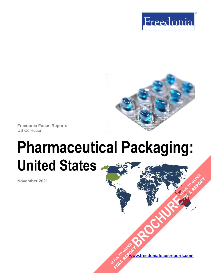



**Freedonia Focus Reports** US Collection

# **Pharmaceutical Packaging: United States**

**November 2021**

**[www.freedoniafocusreports.com](https://www.freedoniafocusreports.com/redirect.asp?progid=89534&url=/)** CLICK TO ORDER **FULL REPORT** 

**[BROCHURE](https://www.freedoniafocusreports.com/Pharmaceutical-Packaging-United-States-FF30018/?progid=89541) CLICK TO ORDER** 

**FULL REPORT**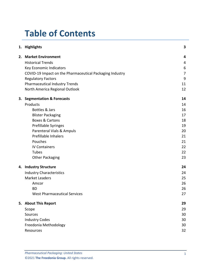# **Table of Contents**

|  | 1. Highlights                                            | 3              |
|--|----------------------------------------------------------|----------------|
|  | 2. Market Environment                                    | 4              |
|  | <b>Historical Trends</b>                                 | 4              |
|  | Key Economic Indicators                                  | 6              |
|  | COVID-19 Impact on the Pharmaceutical Packaging Industry | $\overline{7}$ |
|  | <b>Regulatory Factors</b>                                | 9              |
|  | <b>Pharmaceutical Industry Trends</b>                    | 11             |
|  | North America Regional Outlook                           | 12             |
|  | 3. Segmentation & Forecasts                              | 14             |
|  | Products                                                 | 14             |
|  | Bottles & Jars                                           | 16             |
|  | <b>Blister Packaging</b>                                 | 17             |
|  | <b>Boxes &amp; Cartons</b>                               | 18             |
|  | Prefillable Syringes                                     | 19             |
|  | Parenteral Vials & Ampuls                                | 20             |
|  | <b>Prefillable Inhalers</b>                              | 21             |
|  | Pouches                                                  | 21             |
|  | <b>IV Containers</b>                                     | 22             |
|  | Tubes                                                    | 22             |
|  | <b>Other Packaging</b>                                   | 23             |
|  | 4. Industry Structure                                    | 24             |
|  | <b>Industry Characteristics</b>                          | 24             |
|  | <b>Market Leaders</b>                                    | 25             |
|  | Amcor                                                    | 26             |
|  | <b>BD</b>                                                | 26             |
|  | <b>West Pharmaceutical Services</b>                      | 27             |
|  | 5. About This Report                                     | 29             |
|  | Scope                                                    | 29             |
|  | Sources                                                  | 30             |
|  | <b>Industry Codes</b>                                    | 30             |
|  | Freedonia Methodology                                    | 30             |
|  | Resources                                                | 32             |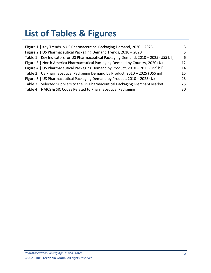# **List of Tables & Figures**

| Figure 1   Key Trends in US Pharmaceutical Packaging Demand, 2020 - 2025                | 3  |
|-----------------------------------------------------------------------------------------|----|
| Figure 2   US Pharmaceutical Packaging Demand Trends, 2010 - 2020                       | 5. |
| Table 1   Key Indicators for US Pharmaceutical Packaging Demand, 2010 - 2025 (US\$ bil) | 6  |
| Figure 3   North America Pharmaceutical Packaging Demand by Country, 2020 (%)           | 12 |
| Figure 4   US Pharmaceutical Packaging Demand by Product, 2010 - 2025 (US\$ bil)        | 14 |
| Table 2   US Pharmaceutical Packaging Demand by Product, 2010 - 2025 (US\$ mil)         | 15 |
| Figure 5   US Pharmaceutical Packaging Demand by Product, 2010 - 2025 (%)               | 23 |
| Table 3   Selected Suppliers to the US Pharmaceutical Packaging Merchant Market         | 25 |
| Table 4   NAICS & SIC Codes Related to Pharmaceutical Packaging                         | 30 |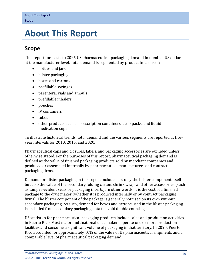## <span id="page-3-0"></span>**5. About This Report**

## <span id="page-3-1"></span>**Scope**

This report forecasts to 2025 US pharmaceutical packaging demand in nominal US dollars at the manufacturer level. Total demand is segmented by product in terms of:

- bottles and jars
- blister packaging
- boxes and cartons
- prefillable syringes
- parenteral vials and ampuls
- prefillable inhalers
- pouches
- IV containers
- tubes
- other products such as prescription containers, strip packs, and liquid medication cups

To illustrate historical trends, total demand and the various segments are reported at fiveyear intervals for 2010, 2015, and 2020.

Pharmaceutical caps and closures, labels, and packaging accessories are excluded unless otherwise stated. For the purposes of this report, pharmaceutical packaging demand is defined as the value of finished packaging products sold by merchant companies and produced or assembled internally by pharmaceutical manufacturers and contract packaging firms.

Demand for blister packaging in this report includes not only the blister component itself but also the value of the secondary folding carton, shrink wrap, and other accessories (such as tamper-evident seals or packaging inserts). In other words, it is the cost of a finished package to the drug maker (whether it is produced internally or by contract packaging firms). The blister component of the package is generally not used on its own without secondary packaging. As such, demand for boxes and cartons used in the blister packaging is excluded from secondary packaging data to avoid double counting.

US statistics for pharmaceutical packaging products include sales and production activities in Puerto Rico. Most major multinational drug makers operate one or more production facilities and consume a significant volume of packaging in that territory. In 2020, Puerto Rico accounted for approximately 40% of the value of US pharmaceutical shipments and a comparable level of pharmaceutical packaging demand.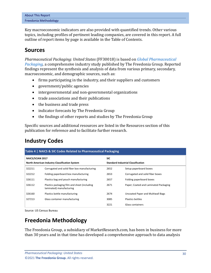| About This Report     |  |  |
|-----------------------|--|--|
| Freedonia Methodology |  |  |

Key macroeconomic indicators are also provided with quantified trends. Other various topics, including profiles of pertinent leading companies, are covered in this report. A full outline of report items by page is available in the Table of Contents.

## <span id="page-4-0"></span>**Sources**

*Pharmaceutical Packaging: United States* (FF30018) is based on *[Global Pharmaceutical](http://www.freedoniagroup.com/DocumentDetails.aspx?ReferrerId=FL-FOCUS&studyid=4215)  [Packaging,](http://www.freedoniagroup.com/DocumentDetails.aspx?ReferrerId=FL-FOCUS&studyid=4215)* a comprehensive industry study published by The Freedonia Group. Reported findings represent the synthesis and analysis of data from various primary, secondary, macroeconomic, and demographic sources, such as:

- firms participating in the industry, and their suppliers and customers
- government/public agencies
- intergovernmental and non-governmental organizations
- trade associations and their publications
- the business and trade press
- indicator forecasts by The Freedonia Group
- the findings of other reports and studies by The Freedonia Group

Specific sources and additional resources are listed in the Resources section of this publication for reference and to facilitate further research.

## <span id="page-4-1"></span>**Industry Codes**

<span id="page-4-3"></span>

| Table 4   NAICS & SIC Codes Related to Pharmaceutical Packaging |                                                                          |                                           |                                       |
|-----------------------------------------------------------------|--------------------------------------------------------------------------|-------------------------------------------|---------------------------------------|
| <b>NAICS/SCIAN 2017</b>                                         |                                                                          | <b>SIC</b>                                |                                       |
| North American Industry Classification System                   |                                                                          | <b>Standard Industrial Classification</b> |                                       |
| 322211                                                          | Corrugated and solid fiber box manufacturing                             | 2652                                      | Setup paperboard boxes                |
| 322212                                                          | Folding paperboard box manufacturing                                     | 2653                                      | Corrugated and solid fiber boxes      |
| 326111                                                          | Plastics bag and pouch manufacturing                                     | 2657                                      | Folding paperboard boxes              |
| 326112                                                          | Plastics packaging film and sheet (including<br>laminated) manufacturing | 2671                                      | Paper; Coated and Laminated Packaging |
| 326160                                                          | Plastics bottle manufacturing                                            | 2674                                      | Uncoated Paper and Multiwall Bags     |
| 327213                                                          | Glass container manufacturing                                            | 3085                                      | Plastics bottles                      |
|                                                                 |                                                                          | 3221                                      | Glass containers                      |

Source: US Census Bureau

## <span id="page-4-2"></span>**Freedonia Methodology**

The Freedonia Group, a subsidiary of MarketResearch.com, has been in business for more than 30 years and in that time has developed a comprehensive approach to data analysis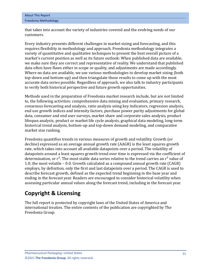| About This Report     |  |  |
|-----------------------|--|--|
| Freedonia Methodology |  |  |

that takes into account the variety of industries covered and the evolving needs of our customers.

Every industry presents different challenges in market sizing and forecasting, and this requires flexibility in methodology and approach. Freedonia methodology integrates a variety of quantitative and qualitative techniques to present the best overall picture of a market's current position as well as its future outlook: When published data are available, we make sure they are correct and representative of reality. We understand that published data often have flaws either in scope or quality, and adjustments are made accordingly. Where no data are available, we use various methodologies to develop market sizing (both top-down and bottom-up) and then triangulate those results to come up with the most accurate data series possible. Regardless of approach, we also talk to industry participants to verify both historical perspective and future growth opportunities.

Methods used in the preparation of Freedonia market research include, but are not limited to, the following activities: comprehensive data mining and evaluation, primary research, consensus forecasting and analysis, ratio analysis using key indicators, regression analysis, end use growth indices and intensity factors, purchase power parity adjustments for global data, consumer and end user surveys, market share and corporate sales analysis, product lifespan analysis, product or market life cycle analysis, graphical data modeling, long-term historical trend analysis, bottom-up and top-down demand modeling, and comparative market size ranking.

Freedonia quantifies trends in various measures of growth and volatility. Growth (or decline) expressed as an average annual growth rate (AAGR) is the least squares growth rate, which takes into account all available datapoints over a period. The volatility of datapoints around a least squares growth trend over time is expressed via the coefficient of determination, or  $r^2$ . The most stable data series relative to the trend carries an  $r^2$  value of 1.0; the most volatile – 0.0. Growth calculated as a compound annual growth rate (CAGR) employs, by definition, only the first and last datapoints over a period. The CAGR is used to describe forecast growth, defined as the expected trend beginning in the base year and ending in the forecast year. Readers are encouraged to consider historical volatility when assessing particular annual values along the forecast trend, including in the forecast year.

## **Copyright & Licensing**

The full report is protected by copyright laws of the United States of America and international treaties. The entire contents of the publication are copyrighted by The Freedonia Group.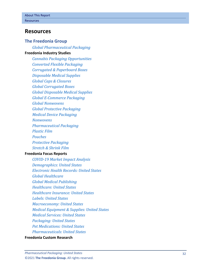### <span id="page-6-0"></span>**Resources**

#### **The Freedonia Group**

*[Global Pharmaceutical Packaging](http://www.freedoniagroup.com/DocumentDetails.aspx?ReferrerId=FL-FOCUS&studyid=4215)*

#### **[Freedonia Industry Studies](http://www.freedoniagroup.com/Home.aspx?ReferrerId=FL-Focus)**

*[Cannabis Packaging Opportunities](http://www.freedoniagroup.com/DocumentDetails.aspx?ReferrerId=FL-FOCUS&studyid=3773) [Converted Flexible Packaging](http://www.freedoniagroup.com/DocumentDetails.aspx?ReferrerId=FL-FOCUS&studyid=3731) [Corrugated & Paperboard Boxes](http://www.freedoniagroup.com/DocumentDetails.aspx?ReferrerId=FL-FOCUS&studyid=3686) [Disposable Medical Supplies](http://www.freedoniagroup.com/DocumentDetails.aspx?ReferrerId=FL-FOCUS&studyid=3631) [Global Caps & Closures](http://www.freedoniagroup.com/DocumentDetails.aspx?ReferrerId=FL-FOCUS&studyid=4045) [Global Corrugated Boxes](http://www.freedoniagroup.com/DocumentDetails.aspx?ReferrerId=FL-FOCUS&studyid=3737) [Global Disposable Medical Supplies](http://www.freedoniagroup.com/DocumentDetails.aspx?ReferrerId=FL-FOCUS&studyid=3694) Global E [-Commerce Packaging](http://www.freedoniagroup.com/DocumentDetails.aspx?ReferrerId=FL-FOCUS&studyid=3744) [Global Nonwovens](http://www.freedoniagroup.com/DocumentDetails.aspx?ReferrerId=FL-FOCUS&studyid=3693) [Global Protective Packaging](http://www.freedoniagroup.com/DocumentDetails.aspx?ReferrerId=FL-FOCUS&studyid=3741) [Medical Device Packaging](http://www.freedoniagroup.com/DocumentDetails.aspx?ReferrerId=FL-FOCUS&studyid=3782) [Nonwovens](http://www.freedoniagroup.com/DocumentDetails.aspx?ReferrerId=FL-FOCUS&studyid=3858) [Pharmaceutical Packaging](http://www.freedoniagroup.com/DocumentDetails.aspx?ReferrerId=FL-FOCUS&studyid=3816) [Plastic Film](http://www.freedoniagroup.com/DocumentDetails.aspx?ReferrerId=FL-FOCUS&studyid=3819) [Pouches](http://www.freedoniagroup.com/DocumentDetails.aspx?ReferrerId=FL-FOCUS&studyid=3878) [Protective Packaging](http://www.freedoniagroup.com/DocumentDetails.aspx?ReferrerId=FL-FOCUS&studyid=3797) [Stretch & Shrink Film](http://www.freedoniagroup.com/DocumentDetails.aspx?ReferrerId=FL-FOCUS&studyid=3796)* **[Freedonia Focus Reports](https://www.freedoniafocusreports.com/redirect.asp?progid=89534&url=/)**

*COVID [-19 Market Impact Analysis](https://www.freedoniafocusreports.com/COVID-19-Market-Impact-Analysis-FW95079/?progid=89534) [Demographics: United States](https://www.freedoniafocusreports.com/Demographics-United-States-FF95050/?progid=89534) [Electronic Health Records: United States](https://www.freedoniafocusreports.com/Electronic-Health-Records-United-States-FF40065/?progid=89534) [Global Healthcare](https://www.freedoniafocusreports.com/Global-Healthcare-FW40017/?progid=89534) [Global Medical Publishing](https://www.freedoniafocusreports.com/Global-Medical-Publishing-FW25022/?progid=89534) [Healthcare: United States](https://www.freedoniafocusreports.com/Healthcare-United-States-FF40017/?progid=89534) [Healthcare Insurance: United States](https://www.freedoniafocusreports.com/Healthcare-Insurance-United-States-FF95013/?progid=89534) [Labels: United States](https://www.freedoniafocusreports.com/Labels-United-States-FF30023/?progid=89534) [Macroeconomy: United States](https://www.freedoniafocusreports.com/Macroeconomy-United-States-FF95051/?progid=89534) [Medical Equipment & Supplies: United States](https://www.freedoniafocusreports.com/Medical-Equipment-Supplies-United-States-FF40018/?progid=89534) [Medical Services: United States](https://www.freedoniafocusreports.com/Medical-Services-United-States-FF95014/?progid=89534) [Packaging: United States](https://www.freedoniafocusreports.com/Packaging-United-States-FF30035/?progid=89534) [Pet Medications: United States](https://www.freedoniafocusreports.com/Pet-Medications-United-States-FF40060/?progid=89534) [Pharmaceuticals: United States](https://www.freedoniafocusreports.com/Pharmaceuticals-United-States-FF40040/?progid=89534)*

#### **[Freedonia Custom Research](http://www.freedoniagroup.com/CustomResearch.aspx?ReferrerId=FL-Focus)**